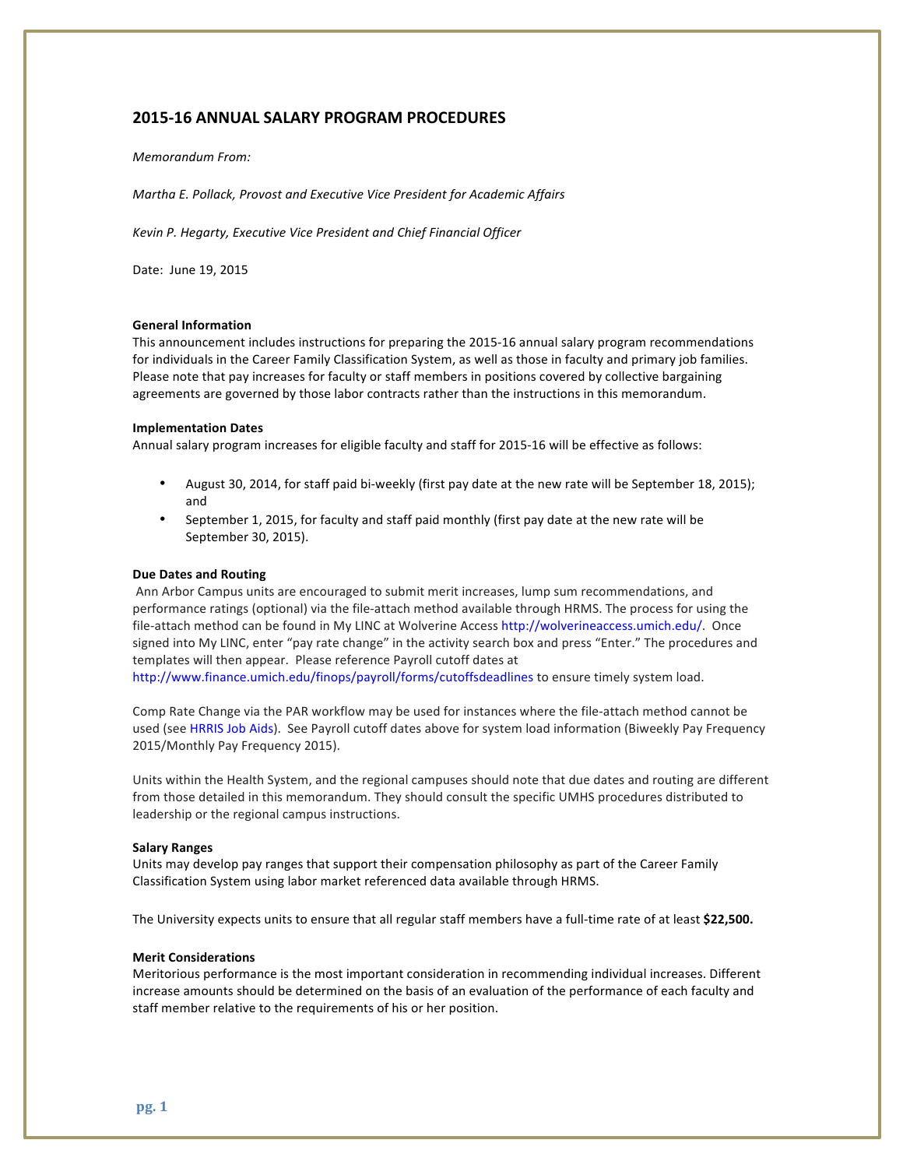# **2015-16 ANNUAL SALARY PROGRAM PROCEDURES**

## *Memorandum From:*

*Martha E. Pollack, Provost and Executive Vice President for Academic Affairs* 

*Kevin P. Hegarty, Executive Vice President and Chief Financial Officer*

Date: June 19, 2015

## **General Information**

This announcement includes instructions for preparing the 2015-16 annual salary program recommendations for individuals in the Career Family Classification System, as well as those in faculty and primary job families. Please note that pay increases for faculty or staff members in positions covered by collective bargaining agreements are governed by those labor contracts rather than the instructions in this memorandum.

## **Implementation Dates**

Annual salary program increases for eligible faculty and staff for 2015-16 will be effective as follows:

- August 30, 2014, for staff paid bi-weekly (first pay date at the new rate will be September 18, 2015); and
- September 1, 2015, for faculty and staff paid monthly (first pay date at the new rate will be September 30, 2015).

#### **Due Dates and Routing**

Ann Arbor Campus units are encouraged to submit merit increases, lump sum recommendations, and performance ratings (optional) via the file-attach method available through HRMS. The process for using the file-attach method can be found in My LINC at Wolverine Access http://wolverineaccess.umich.edu/. Once signed into My LINC, enter "pay rate change" in the activity search box and press "Enter." The procedures and templates will then appear. Please reference Payroll cutoff dates at

http://www.finance.umich.edu/finops/payroll/forms/cutoffsdeadlines to ensure timely system load.

Comp Rate Change via the PAR workflow may be used for instances where the file-attach method cannot be used (see HRRIS Job Aids). See Payroll cutoff dates above for system load information (Biweekly Pay Frequency 2015/Monthly Pay Frequency 2015).

Units within the Health System, and the regional campuses should note that due dates and routing are different from those detailed in this memorandum. They should consult the specific UMHS procedures distributed to leadership or the regional campus instructions.

#### **Salary Ranges**

Units may develop pay ranges that support their compensation philosophy as part of the Career Family Classification System using labor market referenced data available through HRMS.

The University expects units to ensure that all regular staff members have a full-time rate of at least \$22,500.

### **Merit Considerations**

Meritorious performance is the most important consideration in recommending individual increases. Different increase amounts should be determined on the basis of an evaluation of the performance of each faculty and staff member relative to the requirements of his or her position.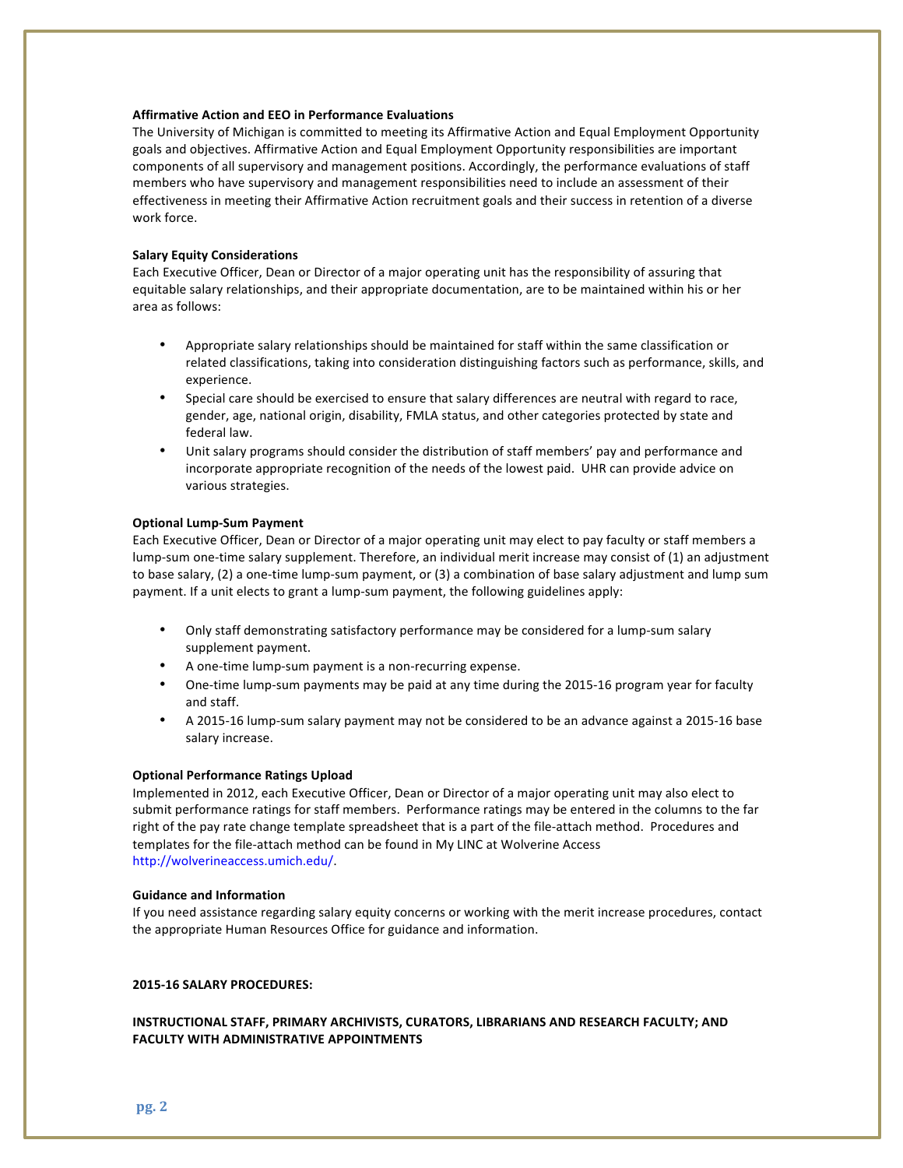## **Affirmative Action and EEO in Performance Evaluations**

The University of Michigan is committed to meeting its Affirmative Action and Equal Employment Opportunity goals and objectives. Affirmative Action and Equal Employment Opportunity responsibilities are important components of all supervisory and management positions. Accordingly, the performance evaluations of staff members who have supervisory and management responsibilities need to include an assessment of their effectiveness in meeting their Affirmative Action recruitment goals and their success in retention of a diverse work force.

## **Salary Equity Considerations**

Each Executive Officer, Dean or Director of a major operating unit has the responsibility of assuring that equitable salary relationships, and their appropriate documentation, are to be maintained within his or her area as follows:

- Appropriate salary relationships should be maintained for staff within the same classification or related classifications, taking into consideration distinguishing factors such as performance, skills, and experience.
- Special care should be exercised to ensure that salary differences are neutral with regard to race, gender, age, national origin, disability, FMLA status, and other categories protected by state and federal law.
- Unit salary programs should consider the distribution of staff members' pay and performance and incorporate appropriate recognition of the needs of the lowest paid. UHR can provide advice on various strategies.

#### **Optional Lump-Sum Payment**

Each Executive Officer, Dean or Director of a major operating unit may elect to pay faculty or staff members a lump-sum one-time salary supplement. Therefore, an individual merit increase may consist of (1) an adjustment to base salary, (2) a one-time lump-sum payment, or (3) a combination of base salary adjustment and lump sum payment. If a unit elects to grant a lump-sum payment, the following guidelines apply:

- Only staff demonstrating satisfactory performance may be considered for a lump-sum salary supplement payment.
- A one-time lump-sum payment is a non-recurring expense.
- One-time lump-sum payments may be paid at any time during the 2015-16 program year for faculty and staff.
- A 2015-16 lump-sum salary payment may not be considered to be an advance against a 2015-16 base salary increase.

#### **Optional Performance Ratings Upload**

Implemented in 2012, each Executive Officer, Dean or Director of a major operating unit may also elect to submit performance ratings for staff members. Performance ratings may be entered in the columns to the far right of the pay rate change template spreadsheet that is a part of the file-attach method. Procedures and templates for the file-attach method can be found in My LINC at Wolverine Access http://wolverineaccess.umich.edu/. 

#### **Guidance and Information**

If you need assistance regarding salary equity concerns or working with the merit increase procedures, contact the appropriate Human Resources Office for guidance and information.

## **2015-16 SALARY PROCEDURES:**

# **INSTRUCTIONAL STAFF, PRIMARY ARCHIVISTS, CURATORS, LIBRARIANS AND RESEARCH FACULTY; AND FACULTY WITH ADMINISTRATIVE APPOINTMENTS**